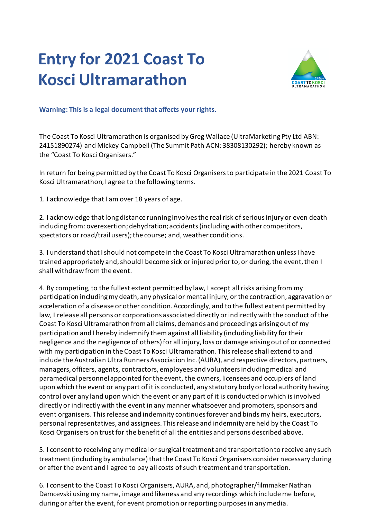## **Entry for 2021 Coast To Kosci Ultramarathon**



**Warning: This is a legal document that affects your rights.** 

The Coast To Kosci Ultramarathon is organised by Greg Wallace (UltraMarketing Pty Ltd ABN: 24151890274) and Mickey Campbell (The Summit Path ACN: 38308130292); hereby known as the "Coast To Kosci Organisers."

In return for being permitted by the Coast To Kosci Organisers to participate in the 2021 Coast To Kosci Ultramarathon, I agree to the following terms.

1. I acknowledge that I am over 18 years of age.

2. I acknowledge that long distance running involves the real risk of serious injury or even death including from: overexertion; dehydration; accidents (including with other competitors, spectators or road/trail users); the course; and, weather conditions.

3. I understand that I should not compete in the Coast To Kosci Ultramarathon unless I have trained appropriately and, should I become sick or injured prior to, or during, the event, then I shall withdraw from the event.

4. By competing, to the fullest extent permitted by law, I accept all risks arising from my participation including my death, any physical or mental injury, or the contraction, aggravation or acceleration of a disease or other condition. Accordingly, and to the fullest extent permitted by law, I release all persons or corporations associated directly or indirectly with the conduct of the Coast To Kosci Ultramarathon from all claims, demands and proceedings arising out of my participation and I hereby indemnify them against all liability (including liability for their negligence and the negligence of others) for all injury, loss or damage arising out of or connected with my participation in the Coast To Kosci Ultramarathon. This release shall extend to and include the Australian Ultra Runners Association Inc. (AURA), and respective directors, partners, managers, officers, agents, contractors, employees and volunteers including medical and paramedical personnel appointed for the event, the owners, licensees and occupiers of land upon which the event or any part of it is conducted, any statutory body or local authority having control over any land upon which the event or any part of it is conducted or which is involved directly or indirectly with the event in any manner whatsoever and promoters, sponsors and event organisers. This release and indemnity continues forever and binds my heirs, executors, personal representatives, and assignees. This release and indemnity are held by the Coast To Kosci Organisers on trust for the benefit of all the entities and persons described above.

5. I consent to receiving any medical or surgical treatment and transportation to receive any such treatment (including by ambulance) that the Coast To Kosci Organisers consider necessary during or after the event and I agree to pay all costs of such treatment and transportation.

6. I consent to the Coast To Kosci Organisers, AURA, and, photographer/filmmaker Nathan Damcevski using my name, image and likeness and any recordings which include me before, during or after the event, for event promotion or reporting purposes in any media.